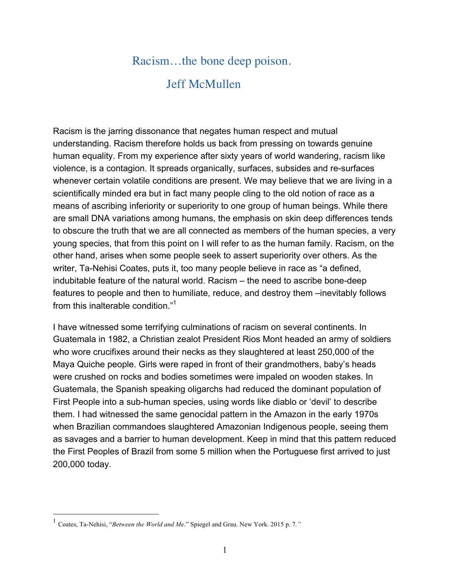## Racism…the bone deep poison.

## Jeff McMullen

Racism is the jarring dissonance that negates human respect and mutual understanding. Racism therefore holds us back from pressing on towards genuine human equality. From my experience after sixty years of world wandering, racism like violence, is a contagion. It spreads organically, surfaces, subsides and re-surfaces whenever certain volatile conditions are present. We may believe that we are living in a scientifically minded era but in fact many people cling to the old notion of race as a means of ascribing inferiority or superiority to one group of human beings. While there are small DNA variations among humans, the emphasis on skin deep differences tends to obscure the truth that we are all connected as members of the human species, a very young species, that from this point on I will refer to as the human family. Racism, on the other hand, arises when some people seek to assert superiority over others. As the writer, Ta-Nehisi Coates, puts it, too many people believe in race as "a defined, indubitable feature of the natural world. Racism – the need to ascribe bone-deep features to people and then to humiliate, reduce, and destroy them –inevitably follows from this inalterable condition."<sup>1</sup>

I have witnessed some terrifying culminations of racism on several continents. In Guatemala in 1982, a Christian zealot President Rios Mont headed an army of soldiers who wore crucifixes around their necks as they slaughtered at least 250,000 of the Maya Quiche people. Girls were raped in front of their grandmothers, baby's heads were crushed on rocks and bodies sometimes were impaled on wooden stakes. In Guatemala, the Spanish speaking oligarchs had reduced the dominant population of First People into a sub-human species, using words like diablo or 'devil' to describe them. I had witnessed the same genocidal pattern in the Amazon in the early 1970s when Brazilian commandoes slaughtered Amazonian Indigenous people, seeing them as savages and a barrier to human development. Keep in mind that this pattern reduced the First Peoples of Brazil from some 5 million when the Portuguese first arrived to just 200,000 today.

 <sup>1</sup> Coates, Ta-Nehisi, "*Between the World and Me*." Spiegel and Grau. New York. 2015 p. 7*."*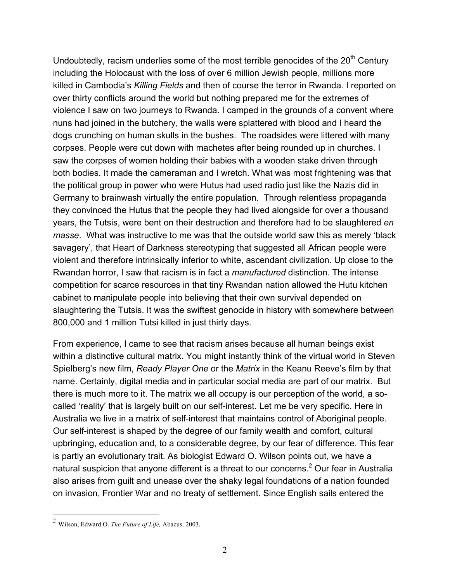Undoubtedly, racism underlies some of the most terrible genocides of the  $20<sup>th</sup>$  Century including the Holocaust with the loss of over 6 million Jewish people, millions more killed in Cambodia's *Killing Fields* and then of course the terror in Rwanda. I reported on over thirty conflicts around the world but nothing prepared me for the extremes of violence I saw on two journeys to Rwanda. I camped in the grounds of a convent where nuns had joined in the butchery, the walls were splattered with blood and I heard the dogs crunching on human skulls in the bushes. The roadsides were littered with many corpses. People were cut down with machetes after being rounded up in churches. I saw the corpses of women holding their babies with a wooden stake driven through both bodies. It made the cameraman and I wretch. What was most frightening was that the political group in power who were Hutus had used radio just like the Nazis did in Germany to brainwash virtually the entire population. Through relentless propaganda they convinced the Hutus that the people they had lived alongside for over a thousand years, the Tutsis, were bent on their destruction and therefore had to be slaughtered *en masse*. What was instructive to me was that the outside world saw this as merely 'black savagery', that Heart of Darkness stereotyping that suggested all African people were violent and therefore intrinsically inferior to white, ascendant civilization. Up close to the Rwandan horror, I saw that racism is in fact a *manufactured* distinction. The intense competition for scarce resources in that tiny Rwandan nation allowed the Hutu kitchen cabinet to manipulate people into believing that their own survival depended on slaughtering the Tutsis. It was the swiftest genocide in history with somewhere between 800,000 and 1 million Tutsi killed in just thirty days.

From experience, I came to see that racism arises because all human beings exist within a distinctive cultural matrix. You might instantly think of the virtual world in Steven Spielberg's new film, *Ready Player One* or the *Matrix* in the Keanu Reeve's film by that name. Certainly, digital media and in particular social media are part of our matrix. But there is much more to it. The matrix we all occupy is our perception of the world, a socalled 'reality' that is largely built on our self-interest. Let me be very specific. Here in Australia we live in a matrix of self-interest that maintains control of Aboriginal people. Our self-interest is shaped by the degree of our family wealth and comfort, cultural upbringing, education and, to a considerable degree, by our fear of difference. This fear is partly an evolutionary trait. As biologist Edward O. Wilson points out, we have a natural suspicion that anyone different is a threat to our concerns. <sup>2</sup> Our fear in Australia also arises from guilt and unease over the shaky legal foundations of a nation founded on invasion, Frontier War and no treaty of settlement. Since English sails entered the

 <sup>2</sup> Wilson, Edward O. *The Future of Life,* Abacus. 2003.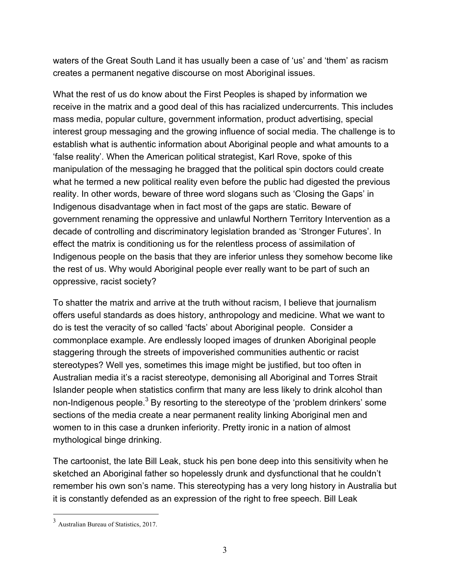waters of the Great South Land it has usually been a case of 'us' and 'them' as racism creates a permanent negative discourse on most Aboriginal issues.

What the rest of us do know about the First Peoples is shaped by information we receive in the matrix and a good deal of this has racialized undercurrents. This includes mass media, popular culture, government information, product advertising, special interest group messaging and the growing influence of social media. The challenge is to establish what is authentic information about Aboriginal people and what amounts to a 'false reality'. When the American political strategist, Karl Rove, spoke of this manipulation of the messaging he bragged that the political spin doctors could create what he termed a new political reality even before the public had digested the previous reality. In other words, beware of three word slogans such as 'Closing the Gaps' in Indigenous disadvantage when in fact most of the gaps are static. Beware of government renaming the oppressive and unlawful Northern Territory Intervention as a decade of controlling and discriminatory legislation branded as 'Stronger Futures'. In effect the matrix is conditioning us for the relentless process of assimilation of Indigenous people on the basis that they are inferior unless they somehow become like the rest of us. Why would Aboriginal people ever really want to be part of such an oppressive, racist society?

To shatter the matrix and arrive at the truth without racism, I believe that journalism offers useful standards as does history, anthropology and medicine. What we want to do is test the veracity of so called 'facts' about Aboriginal people. Consider a commonplace example. Are endlessly looped images of drunken Aboriginal people staggering through the streets of impoverished communities authentic or racist stereotypes? Well yes, sometimes this image might be justified, but too often in Australian media it's a racist stereotype, demonising all Aboriginal and Torres Strait Islander people when statistics confirm that many are less likely to drink alcohol than non-Indigenous people.<sup>3</sup> By resorting to the stereotype of the 'problem drinkers' some sections of the media create a near permanent reality linking Aboriginal men and women to in this case a drunken inferiority. Pretty ironic in a nation of almost mythological binge drinking.

The cartoonist, the late Bill Leak, stuck his pen bone deep into this sensitivity when he sketched an Aboriginal father so hopelessly drunk and dysfunctional that he couldn't remember his own son's name. This stereotyping has a very long history in Australia but it is constantly defended as an expression of the right to free speech. Bill Leak

 <sup>3</sup> Australian Bureau of Statistics, 2017.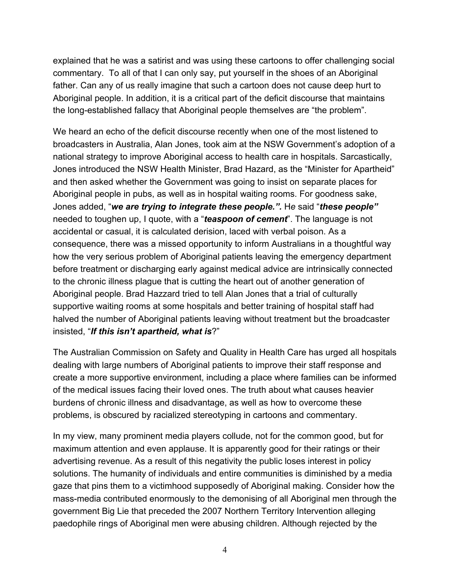explained that he was a satirist and was using these cartoons to offer challenging social commentary. To all of that I can only say, put yourself in the shoes of an Aboriginal father. Can any of us really imagine that such a cartoon does not cause deep hurt to Aboriginal people. In addition, it is a critical part of the deficit discourse that maintains the long-established fallacy that Aboriginal people themselves are "the problem".

We heard an echo of the deficit discourse recently when one of the most listened to broadcasters in Australia, Alan Jones, took aim at the NSW Government's adoption of a national strategy to improve Aboriginal access to health care in hospitals. Sarcastically, Jones introduced the NSW Health Minister, Brad Hazard, as the "Minister for Apartheid" and then asked whether the Government was going to insist on separate places for Aboriginal people in pubs, as well as in hospital waiting rooms. For goodness sake, Jones added, "*we are trying to integrate these people.".* H*e* said "*these people"* needed to toughen up, I quote, with a "*teaspoon of cement*". The language is not accidental or casual, it is calculated derision, laced with verbal poison. As a consequence, there was a missed opportunity to inform Australians in a thoughtful way how the very serious problem of Aboriginal patients leaving the emergency department before treatment or discharging early against medical advice are intrinsically connected to the chronic illness plague that is cutting the heart out of another generation of Aboriginal people. Brad Hazzard tried to tell Alan Jones that a trial of culturally supportive waiting rooms at some hospitals and better training of hospital staff had halved the number of Aboriginal patients leaving without treatment but the broadcaster insisted, "*If this isn't apartheid, what is*?"

The Australian Commission on Safety and Quality in Health Care has urged all hospitals dealing with large numbers of Aboriginal patients to improve their staff response and create a more supportive environment, including a place where families can be informed of the medical issues facing their loved ones. The truth about what causes heavier burdens of chronic illness and disadvantage, as well as how to overcome these problems, is obscured by racialized stereotyping in cartoons and commentary.

In my view, many prominent media players collude, not for the common good, but for maximum attention and even applause. It is apparently good for their ratings or their advertising revenue. As a result of this negativity the public loses interest in policy solutions. The humanity of individuals and entire communities is diminished by a media gaze that pins them to a victimhood supposedly of Aboriginal making. Consider how the mass-media contributed enormously to the demonising of all Aboriginal men through the government Big Lie that preceded the 2007 Northern Territory Intervention alleging paedophile rings of Aboriginal men were abusing children. Although rejected by the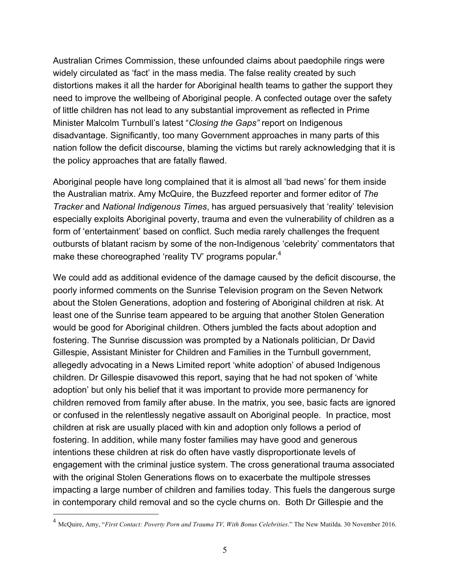Australian Crimes Commission, these unfounded claims about paedophile rings were widely circulated as 'fact' in the mass media. The false reality created by such distortions makes it all the harder for Aboriginal health teams to gather the support they need to improve the wellbeing of Aboriginal people. A confected outage over the safety of little children has not lead to any substantial improvement as reflected in Prime Minister Malcolm Turnbull's latest "*Closing the Gaps"* report on Indigenous disadvantage. Significantly, too many Government approaches in many parts of this nation follow the deficit discourse, blaming the victims but rarely acknowledging that it is the policy approaches that are fatally flawed.

Aboriginal people have long complained that it is almost all 'bad news' for them inside the Australian matrix. Amy McQuire, the Buzzfeed reporter and former editor of *The Tracker* and *National Indigenous Times*, has argued persuasively that 'reality' television especially exploits Aboriginal poverty, trauma and even the vulnerability of children as a form of 'entertainment' based on conflict. Such media rarely challenges the frequent outbursts of blatant racism by some of the non-Indigenous 'celebrity' commentators that make these choreographed 'reality TV' programs popular.<sup>4</sup>

We could add as additional evidence of the damage caused by the deficit discourse, the poorly informed comments on the Sunrise Television program on the Seven Network about the Stolen Generations, adoption and fostering of Aboriginal children at risk. At least one of the Sunrise team appeared to be arguing that another Stolen Generation would be good for Aboriginal children. Others jumbled the facts about adoption and fostering. The Sunrise discussion was prompted by a Nationals politician, Dr David Gillespie, Assistant Minister for Children and Families in the Turnbull government, allegedly advocating in a News Limited report 'white adoption' of abused Indigenous children. Dr Gillespie disavowed this report, saying that he had not spoken of 'white adoption' but only his belief that it was important to provide more permanency for children removed from family after abuse. In the matrix, you see, basic facts are ignored or confused in the relentlessly negative assault on Aboriginal people. In practice, most children at risk are usually placed with kin and adoption only follows a period of fostering. In addition, while many foster families may have good and generous intentions these children at risk do often have vastly disproportionate levels of engagement with the criminal justice system. The cross generational trauma associated with the original Stolen Generations flows on to exacerbate the multipole stresses impacting a large number of children and families today. This fuels the dangerous surge in contemporary child removal and so the cycle churns on. Both Dr Gillespie and the

 <sup>4</sup> McQuire, Amy, "*First Contact: Poverty Porn and Trauma TV, With Bonus Celebrities*." The New Matilda. 30 November 2016.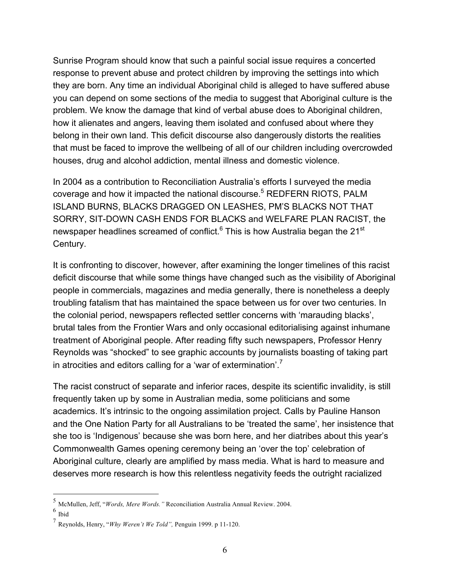Sunrise Program should know that such a painful social issue requires a concerted response to prevent abuse and protect children by improving the settings into which they are born. Any time an individual Aboriginal child is alleged to have suffered abuse you can depend on some sections of the media to suggest that Aboriginal culture is the problem. We know the damage that kind of verbal abuse does to Aboriginal children, how it alienates and angers, leaving them isolated and confused about where they belong in their own land. This deficit discourse also dangerously distorts the realities that must be faced to improve the wellbeing of all of our children including overcrowded houses, drug and alcohol addiction, mental illness and domestic violence.

In 2004 as a contribution to Reconciliation Australia's efforts I surveyed the media coverage and how it impacted the national discourse. <sup>5</sup> REDFERN RIOTS, PALM ISLAND BURNS, BLACKS DRAGGED ON LEASHES, PM'S BLACKS NOT THAT SORRY, SIT-DOWN CASH ENDS FOR BLACKS and WELFARE PLAN RACIST, the newspaper headlines screamed of conflict. $^6$  This is how Australia began the 21 $^{\rm st}$ Century.

It is confronting to discover, however, after examining the longer timelines of this racist deficit discourse that while some things have changed such as the visibility of Aboriginal people in commercials, magazines and media generally, there is nonetheless a deeply troubling fatalism that has maintained the space between us for over two centuries. In the colonial period, newspapers reflected settler concerns with 'marauding blacks', brutal tales from the Frontier Wars and only occasional editorialising against inhumane treatment of Aboriginal people. After reading fifty such newspapers, Professor Henry Reynolds was "shocked" to see graphic accounts by journalists boasting of taking part in atrocities and editors calling for a 'war of extermination'.<sup>7</sup>

The racist construct of separate and inferior races, despite its scientific invalidity, is still frequently taken up by some in Australian media, some politicians and some academics. It's intrinsic to the ongoing assimilation project. Calls by Pauline Hanson and the One Nation Party for all Australians to be 'treated the same', her insistence that she too is 'Indigenous' because she was born here, and her diatribes about this year's Commonwealth Games opening ceremony being an 'over the top' celebration of Aboriginal culture, clearly are amplified by mass media. What is hard to measure and deserves more research is how this relentless negativity feeds the outright racialized

 <sup>5</sup> McMullen, Jeff, "*Words, Mere Words."* Reconciliation Australia Annual Review. 2004.

 $6$  Ibid

<sup>7</sup> Reynolds, Henry, "*Why Weren't We Told",* Penguin 1999. <sup>p</sup> 11-120.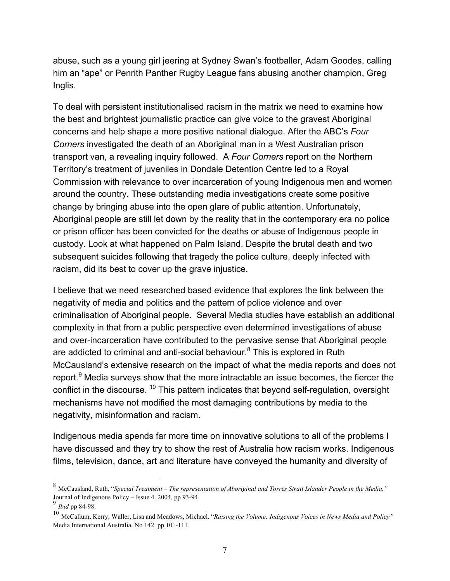abuse, such as a young girl jeering at Sydney Swan's footballer, Adam Goodes, calling him an "ape" or Penrith Panther Rugby League fans abusing another champion, Greg Inglis.

To deal with persistent institutionalised racism in the matrix we need to examine how the best and brightest journalistic practice can give voice to the gravest Aboriginal concerns and help shape a more positive national dialogue. After the ABC's *Four Corners* investigated the death of an Aboriginal man in a West Australian prison transport van, a revealing inquiry followed. A *Four Corners* report on the Northern Territory's treatment of juveniles in Dondale Detention Centre led to a Royal Commission with relevance to over incarceration of young Indigenous men and women around the country. These outstanding media investigations create some positive change by bringing abuse into the open glare of public attention. Unfortunately, Aboriginal people are still let down by the reality that in the contemporary era no police or prison officer has been convicted for the deaths or abuse of Indigenous people in custody. Look at what happened on Palm Island. Despite the brutal death and two subsequent suicides following that tragedy the police culture, deeply infected with racism, did its best to cover up the grave injustice.

I believe that we need researched based evidence that explores the link between the negativity of media and politics and the pattern of police violence and over criminalisation of Aboriginal people. Several Media studies have establish an additional complexity in that from a public perspective even determined investigations of abuse and over-incarceration have contributed to the pervasive sense that Aboriginal people are addicted to criminal and anti-social behaviour. $8$  This is explored in Ruth McCausland's extensive research on the impact of what the media reports and does not report.<sup>9</sup> Media surveys show that the more intractable an issue becomes, the fiercer the conflict in the discourse. 10 This pattern indicates that beyond self-regulation, oversight mechanisms have not modified the most damaging contributions by media to the negativity, misinformation and racism.

Indigenous media spends far more time on innovative solutions to all of the problems I have discussed and they try to show the rest of Australia how racism works. Indigenous films, television, dance, art and literature have conveyed the humanity and diversity of

 <sup>8</sup> McCausland, Ruth, "*Special Treatment – The representation of Aboriginal and Torres Strait Islander People in the Media."* Journal of Indigenous Policy – Issue 4. 2004. pp 93-94

<sup>9</sup> *Ibid* pp 84-98.

<sup>10</sup> McCallum, Kerry, Waller, Lisa and Meadows, Michael. "*Raising the Volume: Indigenous Voices in News Media and Policy"* Media International Australia. No 142. pp 101-111*.*